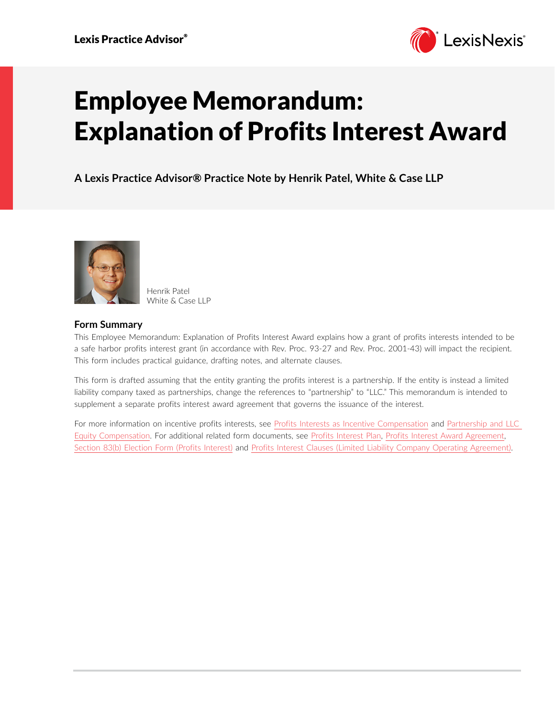

# Employee Memorandum: Explanation of Profits Interest Award

**A Lexis Practice Advisor® Practice Note by Henrik Patel, White & Case LLP**



Henrik Patel White & Case LLP

# **Form Summary**

This Employee Memorandum: Explanation of Profits Interest Award explains how a grant of profits interests intended to be a safe harbor profits interest grant (in accordance with Rev. Proc. 93-27 and Rev. Proc. 2001-43) will impact the recipient. This form includes practical guidance, drafting notes, and alternate clauses.

This form is drafted assuming that the entity granting the profits interest is a partnership. If the entity is instead a limited liability company taxed as partnerships, change the references to "partnership" to "LLC." This memorandum is intended to supplement a separate profits interest award agreement that governs the issuance of the interest.

For more information on incentive profits interests, see [Profits Interests as Incentive Compensation](https://advance.lexis.com/open/document/lpadocument/?pdmfid=1000522&pddocfullpath=%2Fshared%2Fdocument%2Fanalytical-materials%2Furn%3AcontentItem%3A5T0K-K6H1-F22N-X3J3-00000-00&pddocid=urn%3AcontentItem%3A5T0K-K6H1-F22N-X3J3-00000-00&pdcontentcomponentid=231516&pdteaserkey=sr0&pditab=allpods&ecomp=_trg&earg=sr0) and [Partnership and LLC](https://advance.lexis.com/open/document/lpadocument/?pdmfid=1000522&pddocfullpath=%2Fshared%2Fdocument%2Fanalytical-materials%2Furn%3AcontentItem%3A5R2W-05M1-F5KY-B4GY-00000-00&pddocid=urn%3AcontentItem%3A5R2W-05M1-F5KY-B4GY-00000-00&pdcontentcomponentid=231516&pdteaserkey=sr0&pditab=allpods&ecomp=_trg&earg=sr0)  [Equity Compensation.](https://advance.lexis.com/open/document/lpadocument/?pdmfid=1000522&pddocfullpath=%2Fshared%2Fdocument%2Fanalytical-materials%2Furn%3AcontentItem%3A5R2W-05M1-F5KY-B4GY-00000-00&pddocid=urn%3AcontentItem%3A5R2W-05M1-F5KY-B4GY-00000-00&pdcontentcomponentid=231516&pdteaserkey=sr0&pditab=allpods&ecomp=_trg&earg=sr0) For additional related form documents, see [Profits Interest Plan,](https://advance.lexis.com/open/document/lpadocument/?pdmfid=1000522&pddocfullpath=%2Fshared%2Fdocument%2Fforms%2Furn%3AcontentItem%3A5T0K-K3C1-JCJ5-21T5-00000-00&pddocid=urn%3AcontentItem%3A5T0K-K3C1-JCJ5-21T5-00000-00&pdcontentcomponentid=231526&pdteaserkey=sr2&pditab=allpods&ecomp=_trg&earg=sr2) [Profits Interest Award Agreement](https://advance.lexis.com/open/document/lpadocument/?pdmfid=1000522&pddocfullpath=%2Fshared%2Fdocument%2Fforms%2Furn%3AcontentItem%3A5T0K-K3C1-JCJ5-21T4-00000-00&pddocid=urn%3AcontentItem%3A5T0K-K3C1-JCJ5-21T4-00000-00&pdcontentcomponentid=231526&pdteaserkey=sr0&pditab=allpods&ecomp=_trg&earg=sr0), [Section 83\(b\) Election Form \(Profits Interest\)](https://advance.lexis.com/open/document/lpadocument/?pdmfid=1000522&pddocfullpath=%2Fshared%2Fdocument%2Fforms%2Furn%3AcontentItem%3A5PG0-52P1-F7G6-60WG-00000-00&pddocid=urn%3AcontentItem%3A5PG0-52P1-F7G6-60WG-00000-00&pdcontentcomponentid=231526&pdteaserkey=sr0&pditab=allpods&ecomp=_trg&earg=sr0) and [Profits Interest Clauses \(Limited Liability Company Operating Agreement\).](https://advance.lexis.com/open/document/lpadocument/?pdmfid=1000522&pddocfullpath=%2Fshared%2Fdocument%2Fforms%2Furn%3AcontentItem%3A5T0K-K3C1-JCJ5-21T3-00000-00&pddocid=urn%3AcontentItem%3A5T0K-K3C1-JCJ5-21T3-00000-00&pdcontentcomponentid=231526&pdteaserkey=sr0&pditab=allpods&ecomp=_trg&earg=sr0)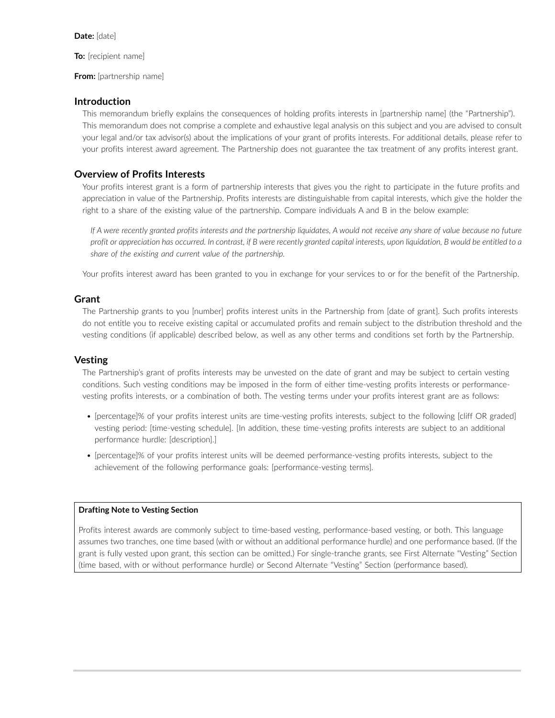**To:** [recipient name]

#### **From:** [partnership name]

## **Introduction**

This memorandum briefly explains the consequences of holding profits interests in [partnership name] (the "Partnership"). This memorandum does not comprise a complete and exhaustive legal analysis on this subject and you are advised to consult your legal and/or tax advisor(s) about the implications of your grant of profits interests. For additional details, please refer to your profits interest award agreement. The Partnership does not guarantee the tax treatment of any profits interest grant.

# **Overview of Profits Interests**

Your profits interest grant is a form of partnership interests that gives you the right to participate in the future profits and appreciation in value of the Partnership. Profits interests are distinguishable from capital interests, which give the holder the right to a share of the existing value of the partnership. Compare individuals A and B in the below example:

*If A were recently granted profits interests and the partnership liquidates, A would not receive any share of value because no future profit or appreciation has occurred. In contrast, if B were recently granted capital interests, upon liquidation, B would be entitled to a share of the existing and current value of the partnership.*

Your profits interest award has been granted to you in exchange for your services to or for the benefit of the Partnership.

## **Grant**

The Partnership grants to you [number] profits interest units in the Partnership from [date of grant]. Such profits interests do not entitle you to receive existing capital or accumulated profits and remain subject to the distribution threshold and the vesting conditions (if applicable) described below, as well as any other terms and conditions set forth by the Partnership.

## **Vesting**

The Partnership's grant of profits interests may be unvested on the date of grant and may be subject to certain vesting conditions. Such vesting conditions may be imposed in the form of either time-vesting profits interests or performancevesting profits interests, or a combination of both. The vesting terms under your profits interest grant are as follows:

- [percentage]% of your profits interest units are time-vesting profits interests, subject to the following [cliff OR graded] vesting period: [time-vesting schedule]. [In addition, these time-vesting profits interests are subject to an additional performance hurdle: [description].]
- [percentage]% of your profits interest units will be deemed performance-vesting profits interests, subject to the achievement of the following performance goals: [performance-vesting terms].

#### **Drafting Note to Vesting Section**

Profits interest awards are commonly subject to time-based vesting, performance-based vesting, or both. This language assumes two tranches, one time based (with or without an additional performance hurdle) and one performance based. (If the grant is fully vested upon grant, this section can be omitted.) For single-tranche grants, see First Alternate "Vesting" Section (time based, with or without performance hurdle) or Second Alternate "Vesting" Section (performance based).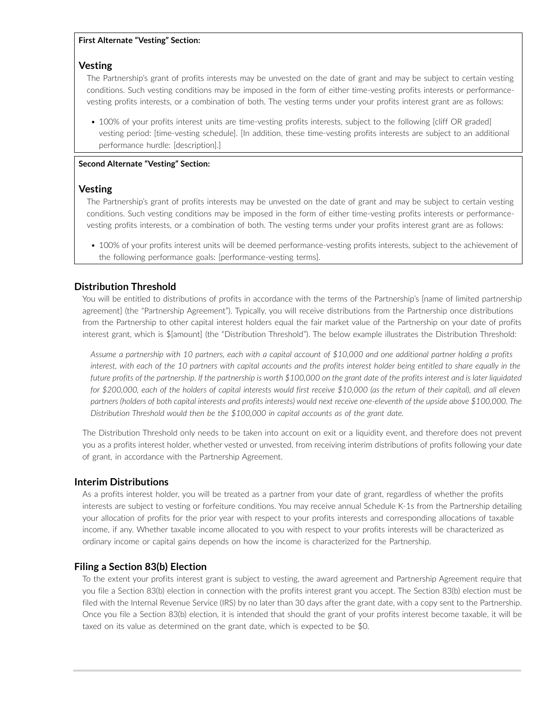### **First Alternate "Vesting" Section:**

## **Vesting**

The Partnership's grant of profits interests may be unvested on the date of grant and may be subject to certain vesting conditions. Such vesting conditions may be imposed in the form of either time-vesting profits interests or performancevesting profits interests, or a combination of both. The vesting terms under your profits interest grant are as follows:

• 100% of your profits interest units are time-vesting profits interests, subject to the following [cliff OR graded] vesting period: [time-vesting schedule]. [In addition, these time-vesting profits interests are subject to an additional performance hurdle: [description].]

## **Second Alternate "Vesting" Section:**

# **Vesting**

The Partnership's grant of profits interests may be unvested on the date of grant and may be subject to certain vesting conditions. Such vesting conditions may be imposed in the form of either time-vesting profits interests or performancevesting profits interests, or a combination of both. The vesting terms under your profits interest grant are as follows:

• 100% of your profits interest units will be deemed performance-vesting profits interests, subject to the achievement of the following performance goals: [performance-vesting terms].

# **Distribution Threshold**

You will be entitled to distributions of profits in accordance with the terms of the Partnership's [name of limited partnership agreement] (the "Partnership Agreement"). Typically, you will receive distributions from the Partnership once distributions from the Partnership to other capital interest holders equal the fair market value of the Partnership on your date of profits interest grant, which is \$[amount] (the "Distribution Threshold"). The below example illustrates the Distribution Threshold:

*Assume a partnership with 10 partners, each with a capital account of \$10,000 and one additional partner holding a profits interest, with each of the 10 partners with capital accounts and the profits interest holder being entitled to share equally in the future profits of the partnership. If the partnership is worth \$100,000 on the grant date of the profits interest and is later liquidated for \$200,000, each of the holders of capital interests would first receive \$10,000 (as the return of their capital), and all eleven partners (holders of both capital interests and profits interests) would next receive one-eleventh of the upside above \$100,000. The Distribution Threshold would then be the \$100,000 in capital accounts as of the grant date.*

The Distribution Threshold only needs to be taken into account on exit or a liquidity event, and therefore does not prevent you as a profits interest holder, whether vested or unvested, from receiving interim distributions of profits following your date of grant, in accordance with the Partnership Agreement.

# **Interim Distributions**

As a profits interest holder, you will be treated as a partner from your date of grant, regardless of whether the profits interests are subject to vesting or forfeiture conditions. You may receive annual Schedule K-1s from the Partnership detailing your allocation of profits for the prior year with respect to your profits interests and corresponding allocations of taxable income, if any. Whether taxable income allocated to you with respect to your profits interests will be characterized as ordinary income or capital gains depends on how the income is characterized for the Partnership.

# **Filing a Section 83(b) Election**

To the extent your profits interest grant is subject to vesting, the award agreement and Partnership Agreement require that you file a Section 83(b) election in connection with the profits interest grant you accept. The Section 83(b) election must be filed with the Internal Revenue Service (IRS) by no later than 30 days after the grant date, with a copy sent to the Partnership. Once you file a Section 83(b) election, it is intended that should the grant of your profits interest become taxable, it will be taxed on its value as determined on the grant date, which is expected to be \$0.